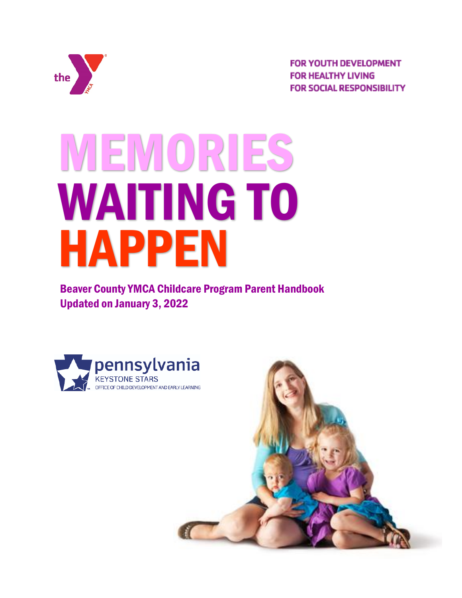

**FOR YOUTH DEVELOPMENT FOR HEALTHY LIVING FOR SOCIAL RESPONSIBILITY** 

# MEMORIES WAITING TO HAPPEN

Beaver County YMCA Childcare Program Parent Handbook Updated on January 3, 2022



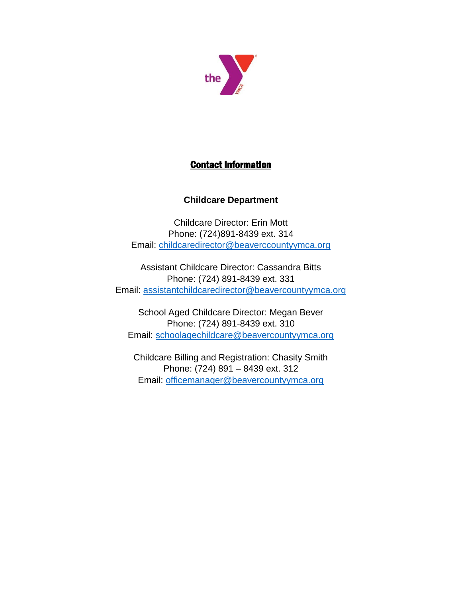

# Contact Information

## **Childcare Department**

Childcare Director: Erin Mott Phone: (724)891-8439 ext. 314 Email: [childcaredirector@beaverccountyymca.org](mailto:childcaredirector@beaverccountyymca.org)

Assistant Childcare Director: Cassandra Bitts Phone: (724) 891-8439 ext. 331 Email: [assistantchildcaredirector@beavercountyymca.org](mailto:assistantchildcaredirector@beavercountyymca.org)

School Aged Childcare Director: Megan Bever Phone: (724) 891-8439 ext. 310 Email: [schoolagechildcare@beavercountyymca.org](mailto:schoolagechildcare@beavercountyymca.org)

Childcare Billing and Registration: Chasity Smith Phone: (724) 891 – 8439 ext. 312 Email: [officemanager@beavercountyymca.org](mailto:officemanager@beavercountyymca.org)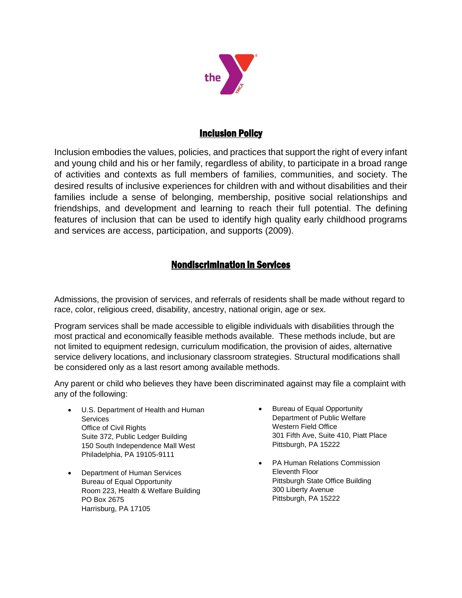

## Inclusion Policy

Inclusion embodies the values, policies, and practices that support the right of every infant and young child and his or her family, regardless of ability, to participate in a broad range of activities and contexts as full members of families, communities, and society. The desired results of inclusive experiences for children with and without disabilities and their families include a sense of belonging, membership, positive social relationships and friendships, and development and learning to reach their full potential. The defining features of inclusion that can be used to identify high quality early childhood programs and services are access, participation, and supports (2009).

# Nondiscrimination in Services

Admissions, the provision of services, and referrals of residents shall be made without regard to race, color, religious creed, disability, ancestry, national origin, age or sex.

Program services shall be made accessible to eligible individuals with disabilities through the most practical and economically feasible methods available. These methods include, but are not limited to equipment redesign, curriculum modification, the provision of aides, alternative service delivery locations, and inclusionary classroom strategies. Structural modifications shall be considered only as a last resort among available methods.

Any parent or child who believes they have been discriminated against may file a complaint with any of the following:

- U.S. Department of Health and Human **Services** Office of Civil Rights Suite 372, Public Ledger Building 150 South Independence Mall West Philadelphia, PA 19105-9111
- Department of Human Services Bureau of Equal Opportunity Room 223, Health & Welfare Building PO Box 2675 Harrisburg, PA 17105
- Bureau of Equal Opportunity Department of Public Welfare Western Field Office 301 Fifth Ave, Suite 410, Piatt Place Pittsburgh, PA 15222
- PA Human Relations Commission Eleventh Floor Pittsburgh State Office Building 300 Liberty Avenue Pittsburgh, PA 15222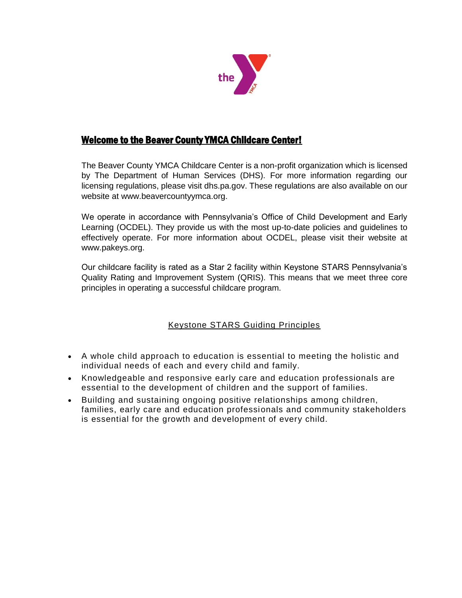

# Welcome to the Beaver County YMCA Childcare Center!

The Beaver County YMCA Childcare Center is a non-profit organization which is licensed by The Department of Human Services (DHS). For more information regarding our licensing regulations, please visit dhs.pa.gov. These regulations are also available on our website at www.beavercountyymca.org.

We operate in accordance with Pennsylvania's Office of Child Development and Early Learning (OCDEL). They provide us with the most up-to-date policies and guidelines to effectively operate. For more information about OCDEL, please visit their website at www.pakeys.org.

Our childcare facility is rated as a Star 2 facility within Keystone STARS Pennsylvania's Quality Rating and Improvement System (QRIS). This means that we meet three core principles in operating a successful childcare program.

## Keystone STARS Guiding Principles

- A whole child approach to education is essential to meeting the holistic and individual needs of each and every child and family.
- Knowledgeable and responsive early care and education professionals are essential to the development of children and the support of families.
- Building and sustaining ongoing positive relationships among children, families, early care and education professionals and community stakeholders is essential for the growth and development of every child.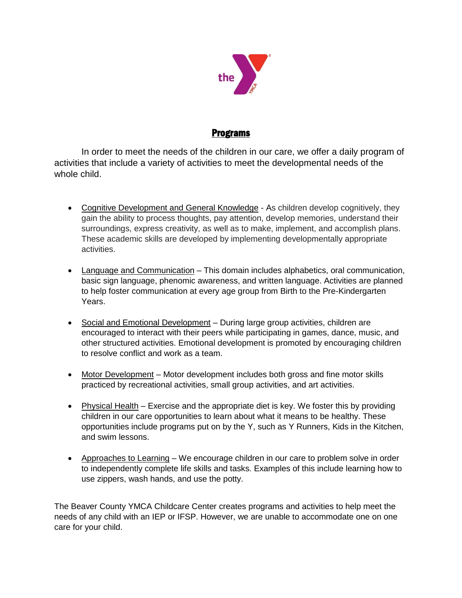

## Programs

In order to meet the needs of the children in our care, we offer a daily program of activities that include a variety of activities to meet the developmental needs of the whole child.

- Cognitive Development and General Knowledge As children develop cognitively, they gain the ability to process thoughts, pay attention, develop memories, understand their surroundings, express creativity, as well as to make, implement, and accomplish plans. These academic skills are developed by implementing developmentally appropriate activities.
- Language and Communication This domain includes alphabetics, oral communication, basic sign language, phenomic awareness, and written language. Activities are planned to help foster communication at every age group from Birth to the Pre-Kindergarten Years.
- Social and Emotional Development During large group activities, children are encouraged to interact with their peers while participating in games, dance, music, and other structured activities. Emotional development is promoted by encouraging children to resolve conflict and work as a team.
- Motor Development Motor development includes both gross and fine motor skills practiced by recreational activities, small group activities, and art activities.
- Physical Health Exercise and the appropriate diet is key. We foster this by providing children in our care opportunities to learn about what it means to be healthy. These opportunities include programs put on by the Y, such as Y Runners, Kids in the Kitchen, and swim lessons.
- Approaches to Learning We encourage children in our care to problem solve in order to independently complete life skills and tasks. Examples of this include learning how to use zippers, wash hands, and use the potty.

The Beaver County YMCA Childcare Center creates programs and activities to help meet the needs of any child with an IEP or IFSP. However, we are unable to accommodate one on one care for your child.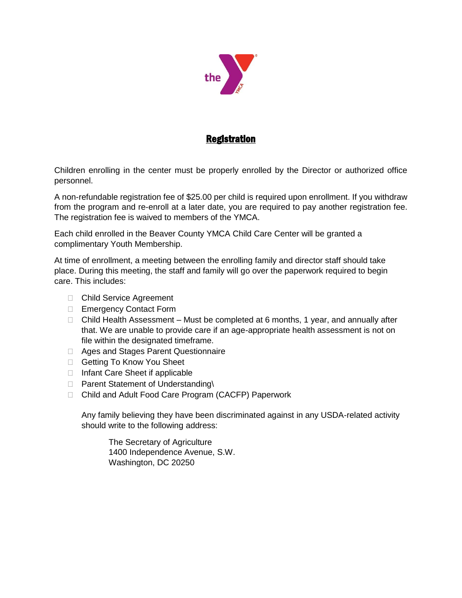

# Registration

Children enrolling in the center must be properly enrolled by the Director or authorized office personnel.

A non-refundable registration fee of \$25.00 per child is required upon enrollment. If you withdraw from the program and re-enroll at a later date, you are required to pay another registration fee. The registration fee is waived to members of the YMCA.

Each child enrolled in the Beaver County YMCA Child Care Center will be granted a complimentary Youth Membership.

At time of enrollment, a meeting between the enrolling family and director staff should take place. During this meeting, the staff and family will go over the paperwork required to begin care. This includes:

- □ Child Service Agreement
- □ Emergency Contact Form
- $\Box$  Child Health Assessment Must be completed at 6 months, 1 year, and annually after that. We are unable to provide care if an age-appropriate health assessment is not on file within the designated timeframe.
- □ Ages and Stages Parent Questionnaire
- □ Getting To Know You Sheet
- $\Box$  Infant Care Sheet if applicable
- D Parent Statement of Understanding\
- □ Child and Adult Food Care Program (CACFP) Paperwork

Any family believing they have been discriminated against in any USDA-related activity should write to the following address:

The Secretary of Agriculture 1400 Independence Avenue, S.W. Washington, DC 20250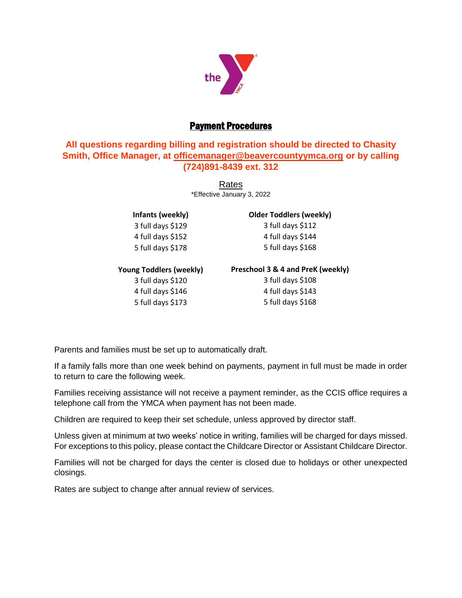

# Payment Procedures

## **All questions regarding billing and registration should be directed to Chasity Smith, Office Manager, at [officemanager@beavercountyymca.org](mailto:officemanager@beavercountyymca.org) or by calling (724)891-8439 ext. 312**

Rates \*Effective January 3, 2022

**Infants (weekly)** 3 full days \$129 4 full days \$152 5 full days \$178

#### **Older Toddlers (weekly)** 3 full days \$112 4 full days \$144

5 full days \$168

### **Young Toddlers (weekly)**

3 full days \$120 4 full days \$146 5 full days \$173

#### **Preschool 3 & 4 and PreK (weekly)**

3 full days \$108 4 full days \$143 5 full days \$168

Parents and families must be set up to automatically draft.

If a family falls more than one week behind on payments, payment in full must be made in order to return to care the following week.

Families receiving assistance will not receive a payment reminder, as the CCIS office requires a telephone call from the YMCA when payment has not been made.

Children are required to keep their set schedule, unless approved by director staff.

Unless given at minimum at two weeks' notice in writing, families will be charged for days missed. For exceptions to this policy, please contact the Childcare Director or Assistant Childcare Director.

Families will not be charged for days the center is closed due to holidays or other unexpected closings.

Rates are subject to change after annual review of services.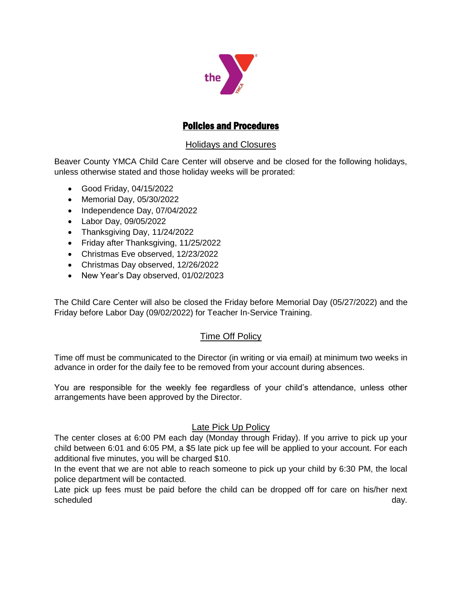

## Policies and Procedures

## Holidays and Closures

Beaver County YMCA Child Care Center will observe and be closed for the following holidays, unless otherwise stated and those holiday weeks will be prorated:

- Good Friday, 04/15/2022
- Memorial Day, 05/30/2022
- Independence Day, 07/04/2022
- Labor Day, 09/05/2022
- Thanksgiving Day, 11/24/2022
- Friday after Thanksgiving, 11/25/2022
- Christmas Eve observed, 12/23/2022
- Christmas Day observed, 12/26/2022
- New Year's Day observed, 01/02/2023

The Child Care Center will also be closed the Friday before Memorial Day (05/27/2022) and the Friday before Labor Day (09/02/2022) for Teacher In-Service Training.

### Time Off Policy

Time off must be communicated to the Director (in writing or via email) at minimum two weeks in advance in order for the daily fee to be removed from your account during absences.

You are responsible for the weekly fee regardless of your child's attendance, unless other arrangements have been approved by the Director.

### Late Pick Up Policy

The center closes at 6:00 PM each day (Monday through Friday). If you arrive to pick up your child between 6:01 and 6:05 PM, a \$5 late pick up fee will be applied to your account. For each additional five minutes, you will be charged \$10.

In the event that we are not able to reach someone to pick up your child by 6:30 PM, the local police department will be contacted.

Late pick up fees must be paid before the child can be dropped off for care on his/her next scheduled and a set of the set of the set of the set of the set of the set of the set of the set of the set of the set of the set of the set of the set of the set of the set of the set of the set of the set of the set of t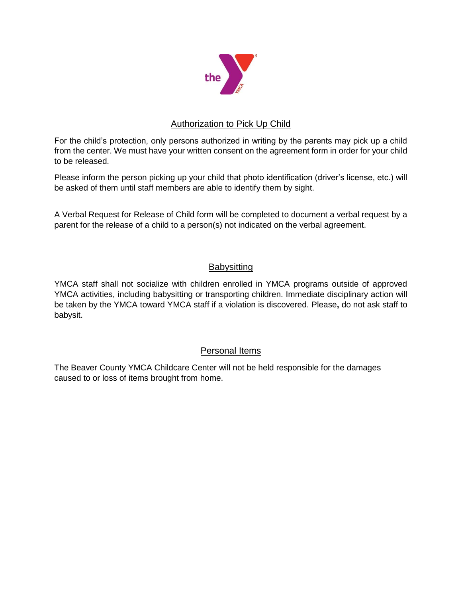

## Authorization to Pick Up Child

For the child's protection, only persons authorized in writing by the parents may pick up a child from the center. We must have your written consent on the agreement form in order for your child to be released.

Please inform the person picking up your child that photo identification (driver's license, etc.) will be asked of them until staff members are able to identify them by sight.

A Verbal Request for Release of Child form will be completed to document a verbal request by a parent for the release of a child to a person(s) not indicated on the verbal agreement.

## **Babysitting**

YMCA staff shall not socialize with children enrolled in YMCA programs outside of approved YMCA activities, including babysitting or transporting children. Immediate disciplinary action will be taken by the YMCA toward YMCA staff if a violation is discovered. Please**,** do not ask staff to babysit.

## Personal Items

The Beaver County YMCA Childcare Center will not be held responsible for the damages caused to or loss of items brought from home.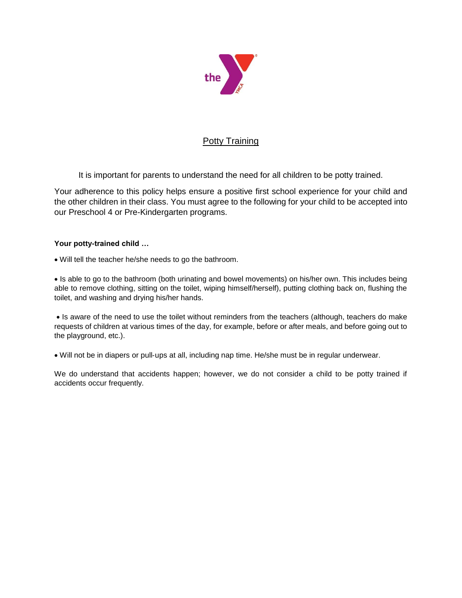

### Potty Training

It is important for parents to understand the need for all children to be potty trained.

Your adherence to this policy helps ensure a positive first school experience for your child and the other children in their class. You must agree to the following for your child to be accepted into our Preschool 4 or Pre-Kindergarten programs.

#### **Your potty-trained child …**

Will tell the teacher he/she needs to go the bathroom.

• Is able to go to the bathroom (both urinating and bowel movements) on his/her own. This includes being able to remove clothing, sitting on the toilet, wiping himself/herself), putting clothing back on, flushing the toilet, and washing and drying his/her hands.

• Is aware of the need to use the toilet without reminders from the teachers (although, teachers do make requests of children at various times of the day, for example, before or after meals, and before going out to the playground, etc.).

Will not be in diapers or pull‐ups at all, including nap time. He/she must be in regular underwear.

We do understand that accidents happen; however, we do not consider a child to be potty trained if accidents occur frequently.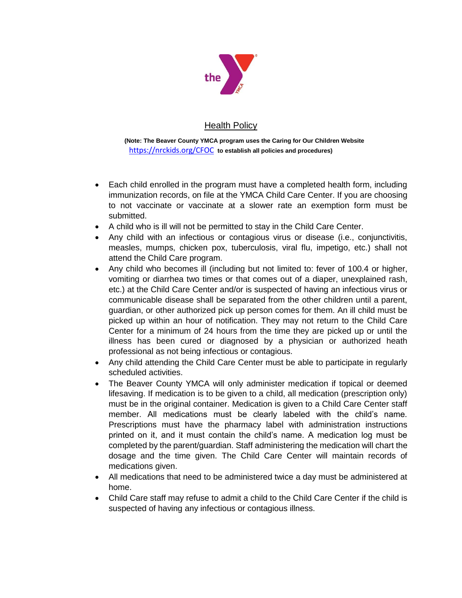

## Health Policy

**(Note: The Beaver County YMCA program uses the Caring for Our Children Website**  <https://nrckids.org/CFOC> **to establish all policies and procedures)**

- Each child enrolled in the program must have a completed health form, including immunization records, on file at the YMCA Child Care Center. If you are choosing to not vaccinate or vaccinate at a slower rate an exemption form must be submitted.
- A child who is ill will not be permitted to stay in the Child Care Center.
- Any child with an infectious or contagious virus or disease (i.e., conjunctivitis, measles, mumps, chicken pox, tuberculosis, viral flu, impetigo, etc.) shall not attend the Child Care program.
- Any child who becomes ill (including but not limited to: fever of 100.4 or higher, vomiting or diarrhea two times or that comes out of a diaper, unexplained rash, etc.) at the Child Care Center and/or is suspected of having an infectious virus or communicable disease shall be separated from the other children until a parent, guardian, or other authorized pick up person comes for them. An ill child must be picked up within an hour of notification. They may not return to the Child Care Center for a minimum of 24 hours from the time they are picked up or until the illness has been cured or diagnosed by a physician or authorized heath professional as not being infectious or contagious.
- Any child attending the Child Care Center must be able to participate in regularly scheduled activities.
- The Beaver County YMCA will only administer medication if topical or deemed lifesaving. If medication is to be given to a child, all medication (prescription only) must be in the original container. Medication is given to a Child Care Center staff member. All medications must be clearly labeled with the child's name. Prescriptions must have the pharmacy label with administration instructions printed on it, and it must contain the child's name. A medication log must be completed by the parent/guardian. Staff administering the medication will chart the dosage and the time given. The Child Care Center will maintain records of medications given.
- All medications that need to be administered twice a day must be administered at home.
- Child Care staff may refuse to admit a child to the Child Care Center if the child is suspected of having any infectious or contagious illness.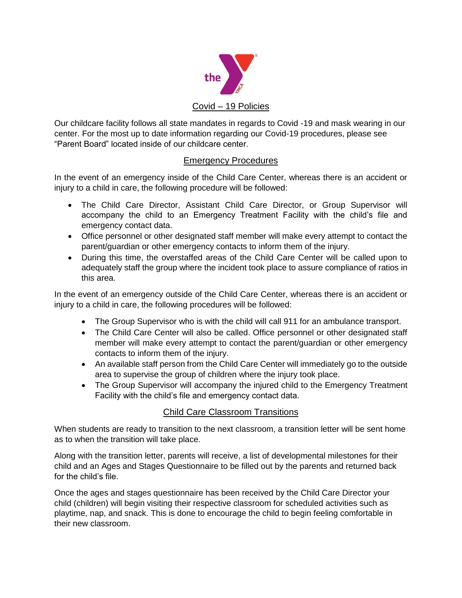

Our childcare facility follows all state mandates in regards to Covid -19 and mask wearing in our center. For the most up to date information regarding our Covid-19 procedures, please see "Parent Board" located inside of our childcare center.

## Emergency Procedures

In the event of an emergency inside of the Child Care Center, whereas there is an accident or injury to a child in care, the following procedure will be followed:

- The Child Care Director, Assistant Child Care Director, or Group Supervisor will accompany the child to an Emergency Treatment Facility with the child's file and emergency contact data.
- Office personnel or other designated staff member will make every attempt to contact the parent/guardian or other emergency contacts to inform them of the injury.
- During this time, the overstaffed areas of the Child Care Center will be called upon to adequately staff the group where the incident took place to assure compliance of ratios in this area.

In the event of an emergency outside of the Child Care Center, whereas there is an accident or injury to a child in care, the following procedures will be followed:

- The Group Supervisor who is with the child will call 911 for an ambulance transport.
- The Child Care Center will also be called. Office personnel or other designated staff member will make every attempt to contact the parent/guardian or other emergency contacts to inform them of the injury.
- An available staff person from the Child Care Center will immediately go to the outside area to supervise the group of children where the injury took place.
- The Group Supervisor will accompany the injured child to the Emergency Treatment Facility with the child's file and emergency contact data.

### Child Care Classroom Transitions

When students are ready to transition to the next classroom, a transition letter will be sent home as to when the transition will take place.

Along with the transition letter, parents will receive, a list of developmental milestones for their child and an Ages and Stages Questionnaire to be filled out by the parents and returned back for the child's file.

Once the ages and stages questionnaire has been received by the Child Care Director your child (children) will begin visiting their respective classroom for scheduled activities such as playtime, nap, and snack. This is done to encourage the child to begin feeling comfortable in their new classroom.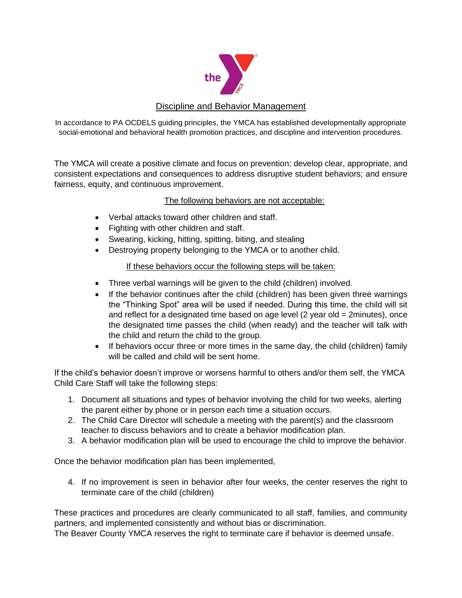

## Discipline and Behavior Management

In accordance to PA OCDELS guiding principles, the YMCA has established developmentally appropriate social-emotional and behavioral health promotion practices, and discipline and intervention procedures.

The YMCA will create a positive climate and focus on prevention; develop clear, appropriate, and consistent expectations and consequences to address disruptive student behaviors; and ensure fairness, equity, and continuous improvement.

#### The following behaviors are not acceptable:

- Verbal attacks toward other children and staff.
- Fighting with other children and staff.
- Swearing, kicking, hitting, spitting, biting, and stealing
- Destroying property belonging to the YMCA or to another child.

### If these behaviors occur the following steps will be taken:

- Three verbal warnings will be given to the child (children) involved.
- If the behavior continues after the child (children) has been given three warnings the "Thinking Spot" area will be used if needed. During this time, the child will sit and reflect for a designated time based on age level  $(2 \text{ year old} = 2 \text{ minutes})$ , once the designated time passes the child (when ready) and the teacher will talk with the child and return the child to the group.
- If behaviors occur three or more times in the same day, the child (children) family will be called and child will be sent home.

If the child's behavior doesn't improve or worsens harmful to others and/or them self, the YMCA Child Care Staff will take the following steps:

- 1. Document all situations and types of behavior involving the child for two weeks, alerting the parent either by phone or in person each time a situation occurs.
- 2. The Child Care Director will schedule a meeting with the parent(s) and the classroom teacher to discuss behaviors and to create a behavior modification plan.
- 3. A behavior modification plan will be used to encourage the child to improve the behavior.

Once the behavior modification plan has been implemented,

4. If no improvement is seen in behavior after four weeks, the center reserves the right to terminate care of the child (children)

These practices and procedures are clearly communicated to all staff, families, and community partners, and implemented consistently and without bias or discrimination.

The Beaver County YMCA reserves the right to terminate care if behavior is deemed unsafe.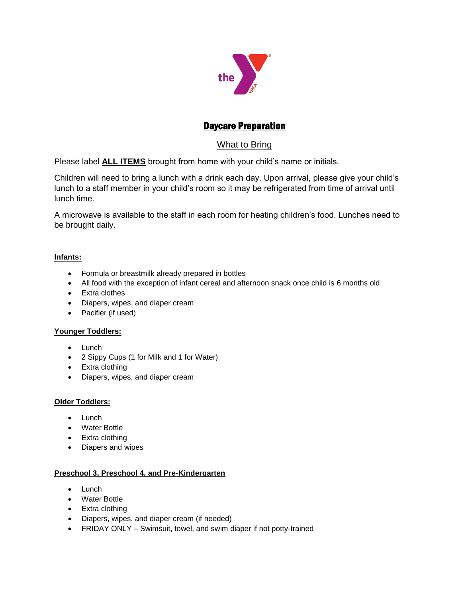

# Daycare Preparation

## What to Bring

Please label **ALL ITEMS** brought from home with your child's name or initials.

Children will need to bring a lunch with a drink each day. Upon arrival, please give your child's lunch to a staff member in your child's room so it may be refrigerated from time of arrival until lunch time.

A microwave is available to the staff in each room for heating children's food. Lunches need to be brought daily.

#### **Infants:**

- Formula or breastmilk already prepared in bottles
- All food with the exception of infant cereal and afternoon snack once child is 6 months old
- Extra clothes
- Diapers, wipes, and diaper cream
- Pacifier (if used)

#### **Younger Toddlers:**

- Lunch
- 2 Sippy Cups (1 for Milk and 1 for Water)
- Extra clothing
- Diapers, wipes, and diaper cream

#### **Older Toddlers:**

- $\bullet$  Lunch
- Water Bottle
- Extra clothing
- Diapers and wipes

#### **Preschool 3, Preschool 4, and Pre-Kindergarten**

- $\bullet$  Lunch
- Water Bottle
- Extra clothing
- Diapers, wipes, and diaper cream (if needed)
- FRIDAY ONLY Swimsuit, towel, and swim diaper if not potty-trained